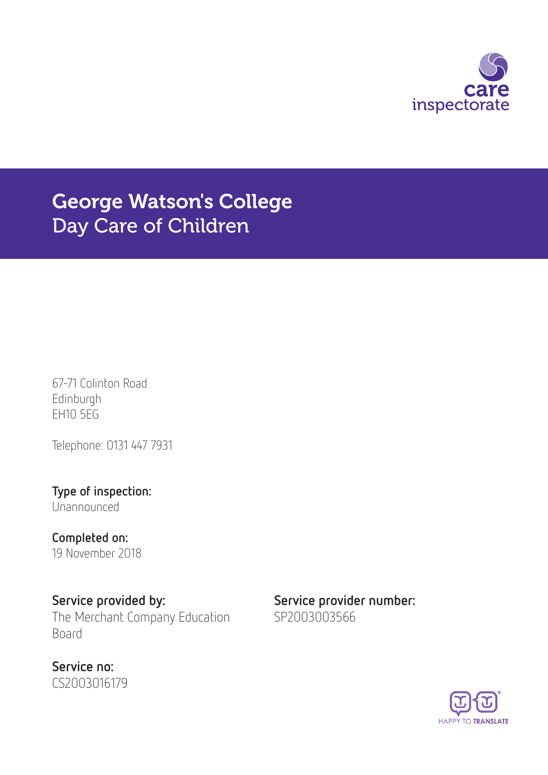

# George Watson's College Day Care of Children

67-71 Colinton Road Edinburgh EH10 5EG

Telephone: 0131 447 7931

Type of inspection: Unannounced

Completed on: 19 November 2018

Service provided by: Service provider number: The Merchant Company Education Board

Service no: CS2003016179 SP2003003566

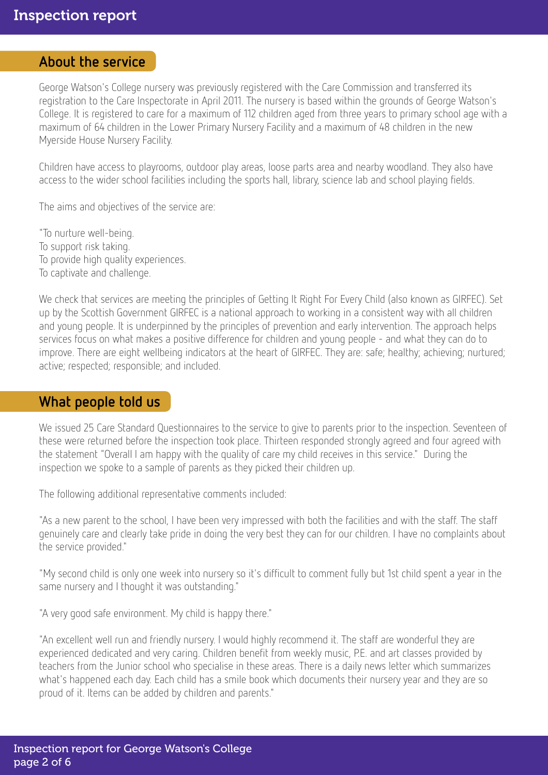### About the service

George Watson's College nursery was previously registered with the Care Commission and transferred its registration to the Care Inspectorate in April 2011. The nursery is based within the grounds of George Watson's College. It is registered to care for a maximum of 112 children aged from three years to primary school age with a maximum of 64 children in the Lower Primary Nursery Facility and a maximum of 48 children in the new Myerside House Nursery Facility.

Children have access to playrooms, outdoor play areas, loose parts area and nearby woodland. They also have access to the wider school facilities including the sports hall, library, science lab and school playing fields.

The aims and objectives of the service are:

"To nurture well-being. To support risk taking. To provide high quality experiences. To captivate and challenge.

We check that services are meeting the principles of Getting It Right For Every Child (also known as GIRFEC). Set up by the Scottish Government GIRFEC is a national approach to working in a consistent way with all children and young people. It is underpinned by the principles of prevention and early intervention. The approach helps services focus on what makes a positive difference for children and young people - and what they can do to improve. There are eight wellbeing indicators at the heart of GIRFEC. They are: safe; healthy; achieving; nurtured; active; respected; responsible; and included.

### What people told us

We issued 25 Care Standard Questionnaires to the service to give to parents prior to the inspection. Seventeen of these were returned before the inspection took place. Thirteen responded strongly agreed and four agreed with the statement "Overall I am happy with the quality of care my child receives in this service." During the inspection we spoke to a sample of parents as they picked their children up.

The following additional representative comments included:

"As a new parent to the school, I have been very impressed with both the facilities and with the staff. The staff genuinely care and clearly take pride in doing the very best they can for our children. I have no complaints about the service provided."

"My second child is only one week into nursery so it's difficult to comment fully but 1st child spent a year in the same nursery and I thought it was outstanding."

"A very good safe environment. My child is happy there."

"An excellent well run and friendly nursery. I would highly recommend it. The staff are wonderful they are experienced dedicated and very caring. Children benefit from weekly music, P.E. and art classes provided by teachers from the Junior school who specialise in these areas. There is a daily news letter which summarizes what's happened each day. Each child has a smile book which documents their nursery year and they are so proud of it. Items can be added by children and parents."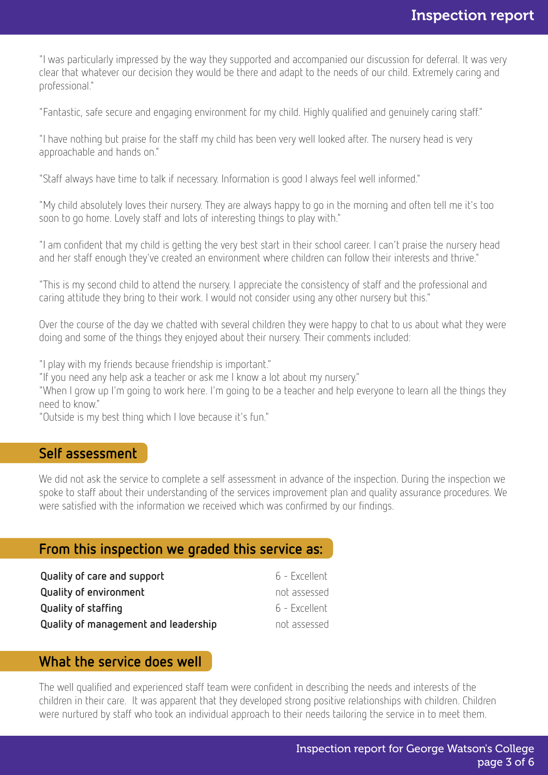"I was particularly impressed by the way they supported and accompanied our discussion for deferral. It was very clear that whatever our decision they would be there and adapt to the needs of our child. Extremely caring and professional."

"Fantastic, safe secure and engaging environment for my child. Highly qualified and genuinely caring staff."

"I have nothing but praise for the staff my child has been very well looked after. The nursery head is very approachable and hands on."

"Staff always have time to talk if necessary. Information is good I always feel well informed."

"My child absolutely loves their nursery. They are always happy to go in the morning and often tell me it's too soon to go home. Lovely staff and lots of interesting things to play with."

"I am confident that my child is getting the very best start in their school career. I can't praise the nursery head and her staff enough they've created an environment where children can follow their interests and thrive."

"This is my second child to attend the nursery. I appreciate the consistency of staff and the professional and caring attitude they bring to their work. I would not consider using any other nursery but this."

Over the course of the day we chatted with several children they were happy to chat to us about what they were doing and some of the things they enjoyed about their nursery. Their comments included:

"I play with my friends because friendship is important."

"If you need any help ask a teacher or ask me I know a lot about my nursery."

"When I grow up I'm going to work here. I'm going to be a teacher and help everyone to learn all the things they need to know."

"Outside is my best thing which I love because it's fun."

### Self assessment

We did not ask the service to complete a self assessment in advance of the inspection. During the inspection we spoke to staff about their understanding of the services improvement plan and quality assurance procedures. We were satisfied with the information we received which was confirmed by our findings.

### From this inspection we graded this service as:

| Quality of care and support          | 6 - Excellent   |
|--------------------------------------|-----------------|
| <b>Quality of environment</b>        | not assessed    |
| Quality of staffing                  | - 6 - Excellent |
| Quality of management and leadership | not assessed    |

### What the service does well

The well qualified and experienced staff team were confident in describing the needs and interests of the children in their care. It was apparent that they developed strong positive relationships with children. Children were nurtured by staff who took an individual approach to their needs tailoring the service in to meet them.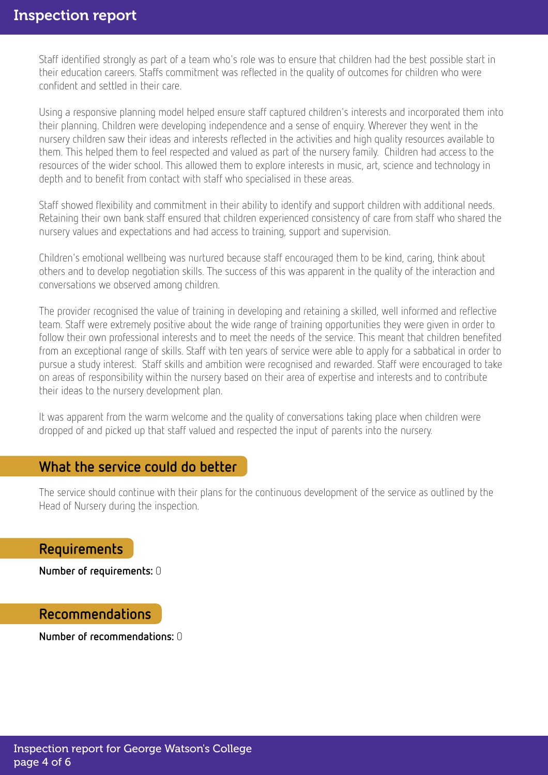Staff identified strongly as part of a team who's role was to ensure that children had the best possible start in their education careers. Staffs commitment was reflected in the quality of outcomes for children who were confident and settled in their care.

Using a responsive planning model helped ensure staff captured children's interests and incorporated them into their planning. Children were developing independence and a sense of enquiry. Wherever they went in the nursery children saw their ideas and interests reflected in the activities and high quality resources available to them. This helped them to feel respected and valued as part of the nursery family. Children had access to the resources of the wider school. This allowed them to explore interests in music, art, science and technology in depth and to benefit from contact with staff who specialised in these areas.

Staff showed flexibility and commitment in their ability to identify and support children with additional needs. Retaining their own bank staff ensured that children experienced consistency of care from staff who shared the nursery values and expectations and had access to training, support and supervision.

Children's emotional wellbeing was nurtured because staff encouraged them to be kind, caring, think about others and to develop negotiation skills. The success of this was apparent in the quality of the interaction and conversations we observed among children.

The provider recognised the value of training in developing and retaining a skilled, well informed and reflective team. Staff were extremely positive about the wide range of training opportunities they were given in order to follow their own professional interests and to meet the needs of the service. This meant that children benefited from an exceptional range of skills. Staff with ten years of service were able to apply for a sabbatical in order to pursue a study interest. Staff skills and ambition were recognised and rewarded. Staff were encouraged to take on areas of responsibility within the nursery based on their area of expertise and interests and to contribute their ideas to the nursery development plan.

It was apparent from the warm welcome and the quality of conversations taking place when children were dropped of and picked up that staff valued and respected the input of parents into the nursery.

### What the service could do better

The service should continue with their plans for the continuous development of the service as outlined by the Head of Nursery during the inspection.

#### Requirements

Number of requirements: 0

### Recommendations

Number of recommendations: 0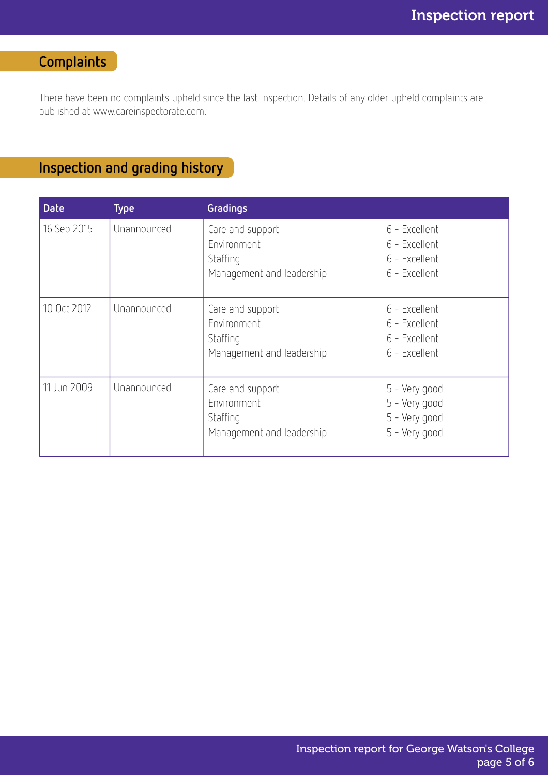# Complaints

There have been no complaints upheld since the last inspection. Details of any older upheld complaints are published at www.careinspectorate.com.

## Inspection and grading history

| <b>Date</b> | <b>Type</b> | <b>Gradings</b>                                                          |                                                                  |
|-------------|-------------|--------------------------------------------------------------------------|------------------------------------------------------------------|
| 16 Sep 2015 | Unannounced | Care and support<br>Environment<br>Staffing<br>Management and leadership | 6 - Excellent<br>6 - Excellent<br>6 - Excellent<br>6 - Excellent |
| 10 Oct 2012 | Unannounced | Care and support<br>Environment<br>Staffing<br>Management and leadership | 6 - Excellent<br>6 - Excellent<br>6 - Excellent<br>6 - Excellent |
| 11 Jun 2009 | Unannounced | Care and support<br>Environment<br>Staffing<br>Management and leadership | 5 - Very good<br>5 - Very good<br>5 - Very good<br>5 - Very good |